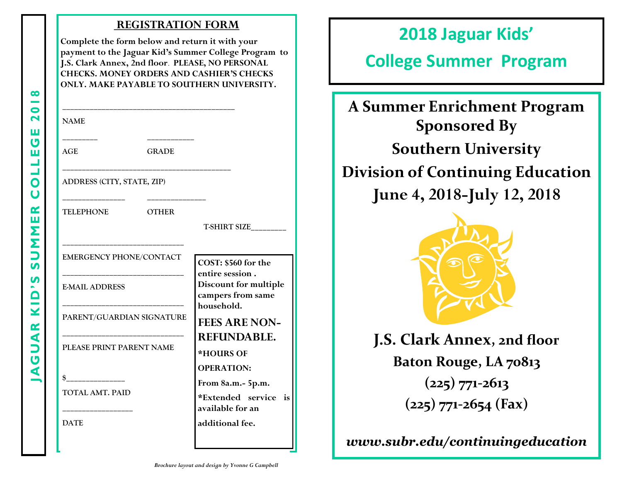#### **REGISTRATION FORM**

**Complete the form below and return it with your payment to the Jaguar Kid's Summer College Program to J.S. Clark Annex, 2nd floor**. **PLEASE, NO PERSONAL CHECKS. MONEY ORDERS AND CASHIER'S CHECKS ONLY. MAKE PAYABLE TO SOUTHERN UNIVERSITY.**

**\_\_\_\_\_\_\_\_\_\_\_\_\_\_\_\_\_\_\_\_\_\_\_\_\_\_\_\_\_\_\_\_\_\_\_\_\_\_\_\_\_\_\_\_**

**\_\_\_\_\_\_\_\_\_\_\_\_\_\_\_\_\_\_\_\_\_\_\_\_\_\_\_\_\_\_\_\_\_\_\_\_\_\_\_\_\_\_\_**

| ٠ | ۰, |
|---|----|

**AGE GRADE**

**ADDRESS (CITY, STATE, ZIP)**

**\_\_\_\_\_\_\_\_\_ \_\_\_\_\_\_\_\_\_\_\_\_**

**\_\_\_\_\_\_\_\_\_\_\_\_\_\_\_\_ \_\_\_\_\_\_\_\_\_\_\_\_\_\_\_**

**TELEPHONE OTHER**

**T-SHIRT SIZE\_\_\_\_\_\_\_\_\_**

**COST: \$560 for the entire session .** 

**EMERGENCY PHONE/CONTACT** 

**\_\_\_\_\_\_\_\_\_\_\_\_\_\_\_\_\_\_\_\_\_\_\_\_\_\_\_\_\_\_\_**

**\_\_\_\_\_\_\_\_\_\_\_\_\_\_\_\_\_\_\_\_\_\_\_\_\_\_\_\_\_\_\_**

**\_\_\_\_\_\_\_\_\_\_\_\_\_\_\_\_\_\_\_\_\_\_\_\_\_\_\_\_\_\_\_**

**E-MAIL ADDRESS**

**PARENT/GUARDIAN SIGNATURE**

**\_\_\_\_\_\_\_\_\_\_\_\_\_\_\_\_\_\_\_\_\_\_\_\_\_\_\_\_\_\_\_ PLEASE PRINT PARENT NAME**

**\$\_\_\_\_\_\_\_\_\_\_\_\_\_\_\_ TOTAL AMT. PAID**

**\_\_\_\_\_\_\_\_\_\_\_\_\_\_\_\_\_\_**

**DATE**

**Discount for multiple campers from same household. FEES ARE NON-REFUNDABLE. \*HOURS OF OPERATION:**

**From 8a.m.- 5p.m. \*Extended service is** 

**available for an** 

**additional fee.**

## **2018 Jaguar Kids'**

# **College Summer Program**

**A Summer Enrichment Program Sponsored By Southern University Division of Continuing Education June 4, 2018-July 12, 2018** 



**J.S. Clark Annex, 2nd floor Baton Rouge, LA 70813 (225) 771-2613 (225) 771-2654 (Fax)**

*www.subr.edu/continuingeducation*